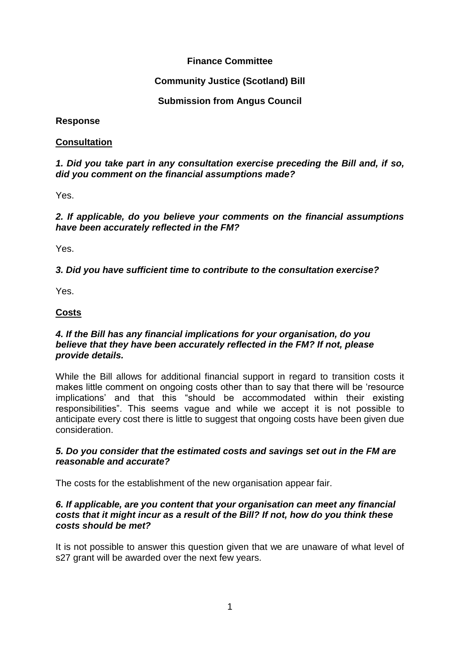# **Finance Committee**

## **Community Justice (Scotland) Bill**

## **Submission from Angus Council**

**Response** 

### **Consultation**

### *1. Did you take part in any consultation exercise preceding the Bill and, if so, did you comment on the financial assumptions made?*

Yes.

*2. If applicable, do you believe your comments on the financial assumptions have been accurately reflected in the FM?* 

Yes.

## *3. Did you have sufficient time to contribute to the consultation exercise?*

Yes.

## **Costs**

#### *4. If the Bill has any financial implications for your organisation, do you believe that they have been accurately reflected in the FM? If not, please provide details.*

While the Bill allows for additional financial support in regard to transition costs it makes little comment on ongoing costs other than to say that there will be 'resource implications' and that this "should be accommodated within their existing responsibilities". This seems vague and while we accept it is not possible to anticipate every cost there is little to suggest that ongoing costs have been given due consideration.

#### *5. Do you consider that the estimated costs and savings set out in the FM are reasonable and accurate?*

The costs for the establishment of the new organisation appear fair.

#### *6. If applicable, are you content that your organisation can meet any financial costs that it might incur as a result of the Bill? If not, how do you think these costs should be met?*

It is not possible to answer this question given that we are unaware of what level of s27 grant will be awarded over the next few years.